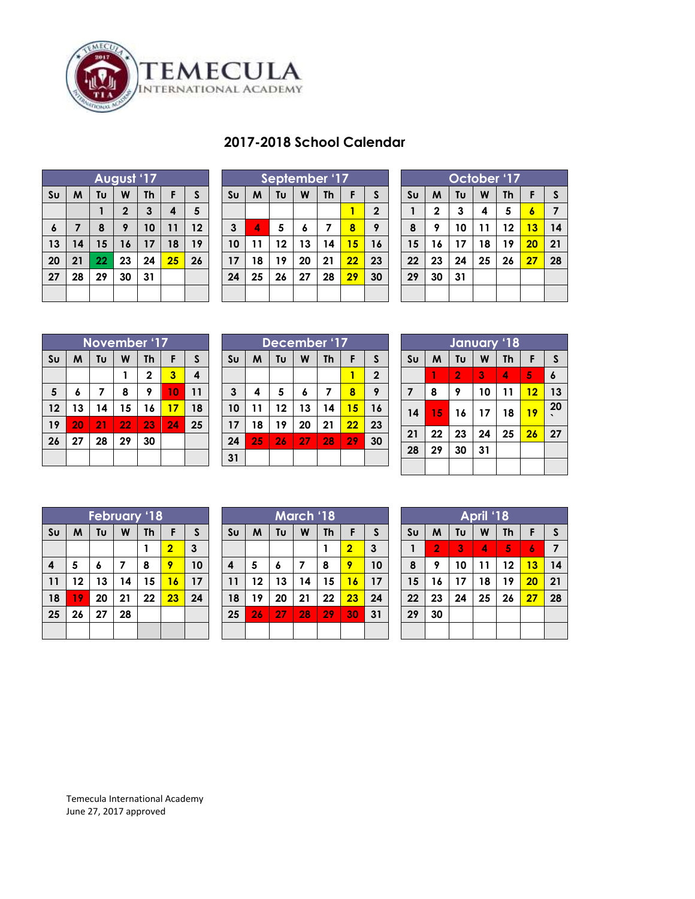

| 2017-2018 School Calendar |  |  |
|---------------------------|--|--|
|---------------------------|--|--|

| August '17     |    |    |              |              |    |    |  |  |
|----------------|----|----|--------------|--------------|----|----|--|--|
| S <sub>U</sub> | M  | Tυ | W            | <b>Th</b>    | F  | S  |  |  |
|                |    |    | $\mathbf{2}$ | $\mathbf{3}$ | 4  | 5  |  |  |
| 6              | 7  | 8  | 9            | 10           | 11 | 12 |  |  |
| 13             | 14 | 15 | 16           | 17           | 18 | 19 |  |  |
| 20             | 21 | 22 | 23           | 24           | 25 | 26 |  |  |
| 27             | 28 | 29 | 30           | 31           |    |    |  |  |
|                |    |    |              |              |    |    |  |  |

| September '17  |    |    |    |           |    |                |  |
|----------------|----|----|----|-----------|----|----------------|--|
| S <sub>U</sub> | M  | Tυ | W  | <b>Th</b> | F  | S              |  |
|                |    |    |    |           |    | $\overline{2}$ |  |
| $\mathbf{3}$   | 4  | 5  | 6  | 7         | 8  | 9              |  |
| 10             | 11 | 12 | 13 | 14        | 15 | 16             |  |
| 17             | 18 | 19 | 20 | 21        | 22 | 23             |  |
| 24             | 25 | 26 | 27 | 28        | 29 | 30             |  |
|                |    |    |    |           |    |                |  |

| October '17    |             |    |    |           |    |    |  |  |
|----------------|-------------|----|----|-----------|----|----|--|--|
| S <sub>U</sub> | W           | Tυ | W  | <b>Th</b> | F  | S  |  |  |
| $\mathbf{1}$   | $\mathbf 2$ | 3  | 4  | 5         | 6  | 7  |  |  |
| 8              | 9           | 10 | 11 | 12        | 13 | 14 |  |  |
| 15             | 16          | 17 | 18 | 19        | 20 | 21 |  |  |
| 22             | 23          | 24 | 25 | 26        | 27 | 28 |  |  |
| 29             | 30          | 31 |    |           |    |    |  |  |
|                |             |    |    |           |    |    |  |  |

| November '17   |    |                         |    |              |    |    |  |
|----------------|----|-------------------------|----|--------------|----|----|--|
| S <sub>U</sub> | M  | Tυ                      | W  | <b>Th</b>    | F  | S  |  |
|                |    |                         |    | $\mathbf{2}$ | 3  | 4  |  |
| $5\phantom{1}$ | 6  | $\overline{\mathbf{z}}$ | 8  | 9            | 10 | 11 |  |
| 12             | 13 | 14                      | 15 | 16           | 17 | 18 |  |
| 19             | 20 | 21                      | 22 | 23           | 24 | 25 |  |
| 26             | 27 | 28                      | 29 | 30           |    |    |  |
|                |    |                         |    |              |    |    |  |

| December '17   |    |    |    |    |    |                |  |  |
|----------------|----|----|----|----|----|----------------|--|--|
| S <sub>U</sub> | M  | F  | S  |    |    |                |  |  |
|                |    |    |    |    | 1  | $\overline{2}$ |  |  |
| $\mathbf{3}$   | 4  | 5  | 6  | 7  | 8  | 9              |  |  |
| 10             | 11 | 12 | 13 | 14 | 15 | 16             |  |  |
| 17             | 18 | 19 | 20 | 21 | 22 | 23             |  |  |
| 24             | 25 | 26 | 27 | 28 | 29 | 30             |  |  |
| 31             |    |    |    |    |    |                |  |  |

| January '18    |    |                |    |           |    |              |  |  |  |
|----------------|----|----------------|----|-----------|----|--------------|--|--|--|
| S <sub>U</sub> | M  | Tυ             | W  | <b>Th</b> | F  | $\mathsf{s}$ |  |  |  |
|                | 1  | $\overline{2}$ | 3  | 4         | 5  | $\pmb{6}$    |  |  |  |
| $\overline{7}$ | 8  | 9              | 10 | 11        | 12 | 13           |  |  |  |
| 14             | 15 | 16             | 17 | 18        | 19 | 20           |  |  |  |
| 21             | 22 | 23             | 24 | 25        | 26 | 27           |  |  |  |
| 28             | 29 | 30             | 31 |           |    |              |  |  |  |
|                |    |                |    |           |    |              |  |  |  |

| <b>February '18</b> |    |    |    |           |                |    |  |
|---------------------|----|----|----|-----------|----------------|----|--|
| S <sub>U</sub>      | M  | Tυ | W  | <b>Th</b> | F              | S  |  |
|                     |    |    |    |           | $\overline{2}$ | 3  |  |
| 4                   | 5  | 6  | 7  | 8         | 9              | 10 |  |
| 11                  | 12 | 13 | 14 | 15        | 16             | 17 |  |
| 18                  | 19 | 20 | 21 | 22        | 23             | 24 |  |
| 25                  | 26 | 27 | 28 |           |                |    |  |
|                     |    |    |    |           |                |    |  |

| <b>March '18</b>        |                              |    |    |    |                |    |  |  |
|-------------------------|------------------------------|----|----|----|----------------|----|--|--|
| Su                      | Tυ<br>W<br>S<br>M<br>Th<br>F |    |    |    |                |    |  |  |
|                         |                              |    |    |    | $\overline{2}$ | 3  |  |  |
| $\overline{\mathbf{4}}$ | 5                            | 6  | 7  | 8  | 9              | 10 |  |  |
| 11                      | 12                           | 13 | 14 | 15 | 16             | 17 |  |  |
| 18                      | 19                           | 20 | 21 | 22 | 23             | 24 |  |  |
| 25                      | 26                           | 27 | 28 | 29 | 30             | 31 |  |  |
|                         |                              |    |    |    |                |    |  |  |

| April '18      |                |    |    |           |    |              |  |  |  |
|----------------|----------------|----|----|-----------|----|--------------|--|--|--|
| S <sub>U</sub> | M              | Tυ | W  | <b>Th</b> | F  | $\mathsf{s}$ |  |  |  |
|                | $\overline{2}$ | 3  | 4  | 5         | 6  | 7            |  |  |  |
| 8              | 9              | 10 | 11 | 12        | 13 | 14           |  |  |  |
| 15             | 16             | 17 | 18 | 19        | 20 | 21           |  |  |  |
| 22             | 23             | 24 | 25 | 26        | 27 | 28           |  |  |  |
| 29             | 30             |    |    |           |    |              |  |  |  |
|                |                |    |    |           |    |              |  |  |  |

Temecula International Academy June 27, 2017 approved